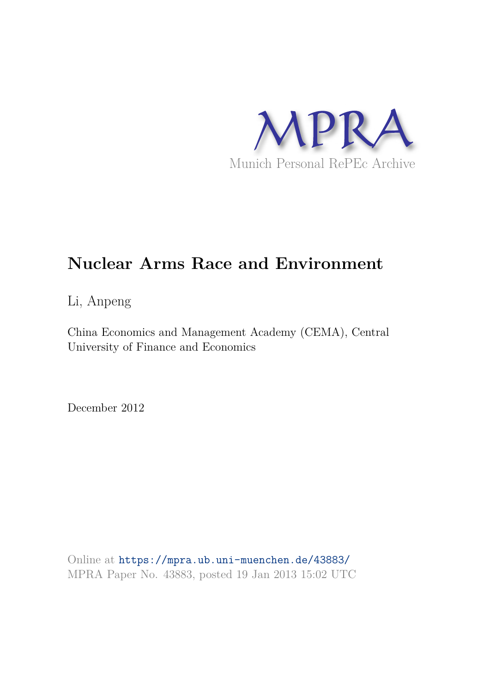

# **Nuclear Arms Race and Environment**

Li, Anpeng

China Economics and Management Academy (CEMA), Central University of Finance and Economics

December 2012

Online at https://mpra.ub.uni-muenchen.de/43883/ MPRA Paper No. 43883, posted 19 Jan 2013 15:02 UTC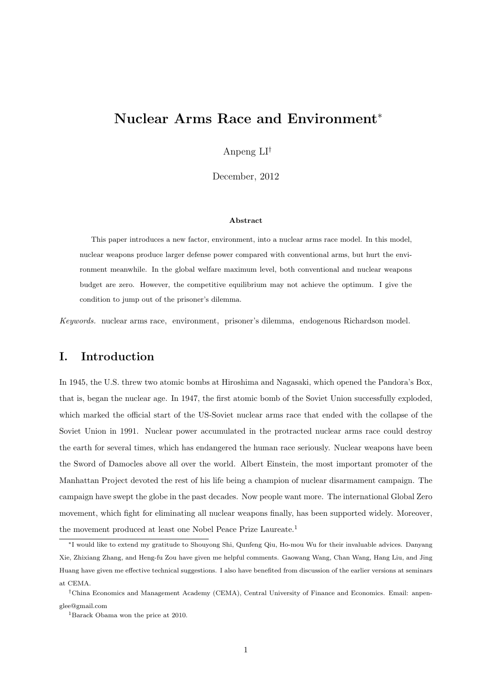## Nuclear Arms Race and Environment<sup>∗</sup>

Anpeng LI†

December, 2012

#### Abstract

This paper introduces a new factor, environment, into a nuclear arms race model. In this model, nuclear weapons produce larger defense power compared with conventional arms, but hurt the environment meanwhile. In the global welfare maximum level, both conventional and nuclear weapons budget are zero. However, the competitive equilibrium may not achieve the optimum. I give the condition to jump out of the prisoner's dilemma.

*Keywords.* nuclear arms race, environment, prisoner's dilemma, endogenous Richardson model.

#### I. Introduction

In 1945, the U.S. threw two atomic bombs at Hiroshima and Nagasaki, which opened the Pandora's Box, that is, began the nuclear age. In 1947, the first atomic bomb of the Soviet Union successfully exploded, which marked the official start of the US-Soviet nuclear arms race that ended with the collapse of the Soviet Union in 1991. Nuclear power accumulated in the protracted nuclear arms race could destroy the earth for several times, which has endangered the human race seriously. Nuclear weapons have been the Sword of Damocles above all over the world. Albert Einstein, the most important promoter of the Manhattan Project devoted the rest of his life being a champion of nuclear disarmament campaign. The campaign have swept the globe in the past decades. Now people want more. The international Global Zero movement, which fight for eliminating all nuclear weapons finally, has been supported widely. Moreover, the movement produced at least one Nobel Peace Prize Laureate.<sup>1</sup>

<sup>∗</sup>I would like to extend my gratitude to Shouyong Shi, Qunfeng Qiu, Ho-mou Wu for their invaluable advices. Danyang Xie, Zhixiang Zhang, and Heng-fu Zou have given me helpful comments. Gaowang Wang, Chan Wang, Hang Liu, and Jing Huang have given me effective technical suggestions. I also have benefited from discussion of the earlier versions at seminars at CEMA.

<sup>†</sup>China Economics and Management Academy (CEMA), Central University of Finance and Economics. Email: anpenglee@gmail.com

<sup>1</sup>Barack Obama won the price at 2010.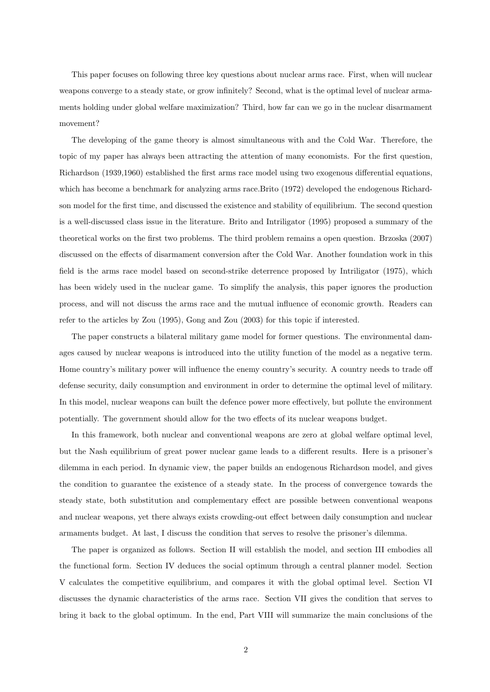This paper focuses on following three key questions about nuclear arms race. First, when will nuclear weapons converge to a steady state, or grow infinitely? Second, what is the optimal level of nuclear armaments holding under global welfare maximization? Third, how far can we go in the nuclear disarmament movement?

The developing of the game theory is almost simultaneous with and the Cold War. Therefore, the topic of my paper has always been attracting the attention of many economists. For the first question, Richardson (1939,1960) established the first arms race model using two exogenous differential equations, which has become a benchmark for analyzing arms race.Brito (1972) developed the endogenous Richardson model for the first time, and discussed the existence and stability of equilibrium. The second question is a well-discussed class issue in the literature. Brito and Intriligator (1995) proposed a summary of the theoretical works on the first two problems. The third problem remains a open question. Brzoska (2007) discussed on the effects of disarmament conversion after the Cold War. Another foundation work in this field is the arms race model based on second-strike deterrence proposed by Intriligator (1975), which has been widely used in the nuclear game. To simplify the analysis, this paper ignores the production process, and will not discuss the arms race and the mutual influence of economic growth. Readers can refer to the articles by Zou (1995), Gong and Zou (2003) for this topic if interested.

The paper constructs a bilateral military game model for former questions. The environmental damages caused by nuclear weapons is introduced into the utility function of the model as a negative term. Home country's military power will influence the enemy country's security. A country needs to trade off defense security, daily consumption and environment in order to determine the optimal level of military. In this model, nuclear weapons can built the defence power more effectively, but pollute the environment potentially. The government should allow for the two effects of its nuclear weapons budget.

In this framework, both nuclear and conventional weapons are zero at global welfare optimal level, but the Nash equilibrium of great power nuclear game leads to a different results. Here is a prisoner's dilemma in each period. In dynamic view, the paper builds an endogenous Richardson model, and gives the condition to guarantee the existence of a steady state. In the process of convergence towards the steady state, both substitution and complementary effect are possible between conventional weapons and nuclear weapons, yet there always exists crowding-out effect between daily consumption and nuclear armaments budget. At last, I discuss the condition that serves to resolve the prisoner's dilemma.

The paper is organized as follows. Section II will establish the model, and section III embodies all the functional form. Section IV deduces the social optimum through a central planner model. Section V calculates the competitive equilibrium, and compares it with the global optimal level. Section VI discusses the dynamic characteristics of the arms race. Section VII gives the condition that serves to bring it back to the global optimum. In the end, Part VIII will summarize the main conclusions of the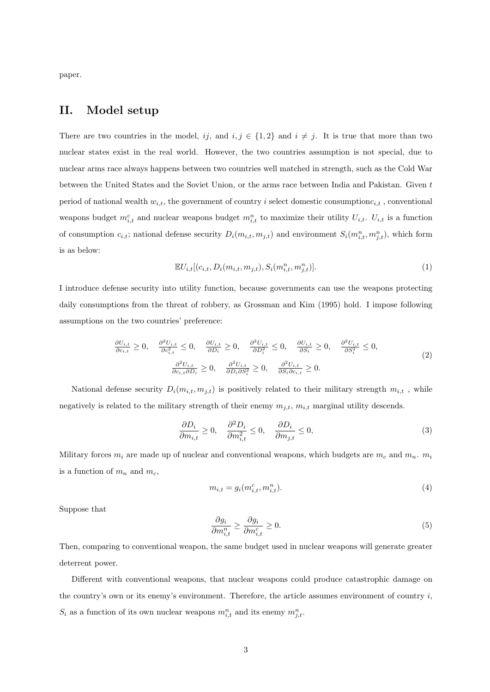paper.

#### II. Model setup

There are two countries in the model, ij, and  $i, j \in \{1, 2\}$  and  $i \neq j$ . It is true that more than two nuclear states exist in the real world. However, the two countries assumption is not special, due to nuclear arms race always happens between two countries well matched in strength, such as the Cold War between the United States and the Soviet Union, or the arms race between India and Pakistan. Given t period of national wealth  $w_{i,t}$ , the government of country i select domestic consumption $c_{i,t}$ , conventional weapons budget  $m_{i,t}^c$  and nuclear weapons budget  $m_{i,t}^n$  to maximize their utility  $U_{i,t}$ .  $U_{i,t}$  is a function of consumption  $c_{i,t}$ ; national defense security  $D_i(m_{i,t}, m_{j,t})$  and environment  $S_i(m_{i,t}^n, m_{j,t}^n)$ , which form is as below:

$$
\mathbb{E}U_{i,t}[(c_{i,t}, D_i(m_{i,t}, m_{j,t}), S_i(m_{i,t}^n, m_{j,t}^n)].
$$
\n(1)

I introduce defense security into utility function, because governments can use the weapons protecting daily consumptions from the threat of robbery, as Grossman and Kim (1995) hold. I impose following assumptions on the two countries' preference:

$$
\frac{\partial U_{i,t}}{\partial c_{i,t}} \ge 0, \quad \frac{\partial^2 U_{i,t}}{\partial c_{i,t}^2} \le 0, \quad \frac{\partial U_{i,t}}{\partial D_i} \ge 0, \quad \frac{\partial^2 U_{i,t}}{\partial D_i^2} \le 0, \quad \frac{\partial U_{i,t}}{\partial S_i} \ge 0, \quad \frac{\partial^2 U_{i,t}}{\partial S_i^2} \le 0,
$$
\n
$$
\frac{\partial^2 U_{i,t}}{\partial c_{i,t} \partial D_i} \ge 0, \quad \frac{\partial^2 U_{i,t}}{\partial D_i \partial S_i^2} \ge 0, \quad \frac{\partial^2 U_{i,t}}{\partial S_i \partial c_{i,t}} \ge 0.
$$
\n(2)

National defense security  $D_i(m_{i,t}, m_{j,t})$  is positively related to their military strength  $m_{i,t}$ , while negatively is related to the military strength of their enemy  $m_{j,t}$ ,  $m_{i,t}$  marginal utility descends.

$$
\frac{\partial D_i}{\partial m_{i,t}} \ge 0, \quad \frac{\partial^2 D_i}{\partial m_{i,t}^2} \le 0, \quad \frac{\partial D_i}{\partial m_{j,t}} \le 0,
$$
\n(3)

Military forces  $m_i$  are made up of nuclear and conventional weapons, which budgets are  $m_c$  and  $m_n$ .  $m_i$ is a function of  $m_n$  and  $m_c$ ,

$$
m_{i,t} = g_i(m_{i,t}^c, m_{i,t}^n). \tag{4}
$$

Suppose that

$$
\frac{\partial g_i}{\partial m_{i,t}^n} \ge \frac{\partial g_i}{\partial m_{i,t}^c} \ge 0.
$$
\n<sup>(5)</sup>

Then, comparing to conventional weapon, the same budget used in nuclear weapons will generate greater deterrent power.

Different with conventional weapons, that nuclear weapons could produce catastrophic damage on the country's own or its enemy's environment. Therefore, the article assumes environment of country  $i$ ,  $S_i$  as a function of its own nuclear weapons  $m_{i,t}^n$  and its enemy  $m_{j,t}^n$ .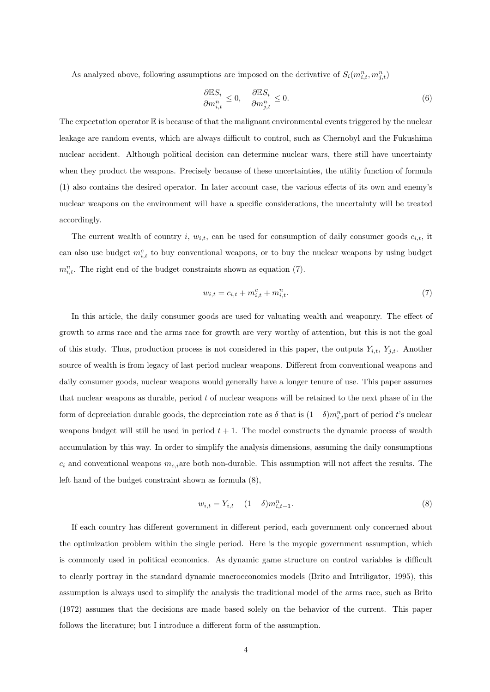As analyzed above, following assumptions are imposed on the derivative of  $S_i(m_{i,t}^n, m_{j,t}^n)$ 

$$
\frac{\partial \mathbb{E}S_i}{\partial m_{i,t}^n} \le 0, \quad \frac{\partial \mathbb{E}S_i}{\partial m_{j,t}^n} \le 0.
$$
\n(6)

The expectation operator  $\mathbb E$  is because of that the malignant environmental events triggered by the nuclear leakage are random events, which are always difficult to control, such as Chernobyl and the Fukushima nuclear accident. Although political decision can determine nuclear wars, there still have uncertainty when they product the weapons. Precisely because of these uncertainties, the utility function of formula (1) also contains the desired operator. In later account case, the various effects of its own and enemy's nuclear weapons on the environment will have a specific considerations, the uncertainty will be treated accordingly.

The current wealth of country i,  $w_{i,t}$ , can be used for consumption of daily consumer goods  $c_{i,t}$ , it can also use budget  $m_{i,t}^c$  to buy conventional weapons, or to buy the nuclear weapons by using budget  $m_{i,t}^n$ . The right end of the budget constraints shown as equation (7).

$$
w_{i,t} = c_{i,t} + m_{i,t}^c + m_{i,t}^n.
$$
\n(7)

In this article, the daily consumer goods are used for valuating wealth and weaponry. The effect of growth to arms race and the arms race for growth are very worthy of attention, but this is not the goal of this study. Thus, production process is not considered in this paper, the outputs  $Y_{i,t}$ ,  $Y_{j,t}$ . Another source of wealth is from legacy of last period nuclear weapons. Different from conventional weapons and daily consumer goods, nuclear weapons would generally have a longer tenure of use. This paper assumes that nuclear weapons as durable, period  $t$  of nuclear weapons will be retained to the next phase of in the form of depreciation durable goods, the depreciation rate as  $\delta$  that is  $(1-\delta)m_{i,t}^n$  part of period t's nuclear weapons budget will still be used in period  $t + 1$ . The model constructs the dynamic process of wealth accumulation by this way. In order to simplify the analysis dimensions, assuming the daily consumptions  $c_i$  and conventional weapons  $m_{c,i}$  are both non-durable. This assumption will not affect the results. The left hand of the budget constraint shown as formula (8),

$$
w_{i,t} = Y_{i,t} + (1 - \delta)m_{i,t-1}^n.
$$
\n(8)

If each country has different government in different period, each government only concerned about the optimization problem within the single period. Here is the myopic government assumption, which is commonly used in political economics. As dynamic game structure on control variables is difficult to clearly portray in the standard dynamic macroeconomics models (Brito and Intriligator, 1995), this assumption is always used to simplify the analysis the traditional model of the arms race, such as Brito (1972) assumes that the decisions are made based solely on the behavior of the current. This paper follows the literature; but I introduce a different form of the assumption.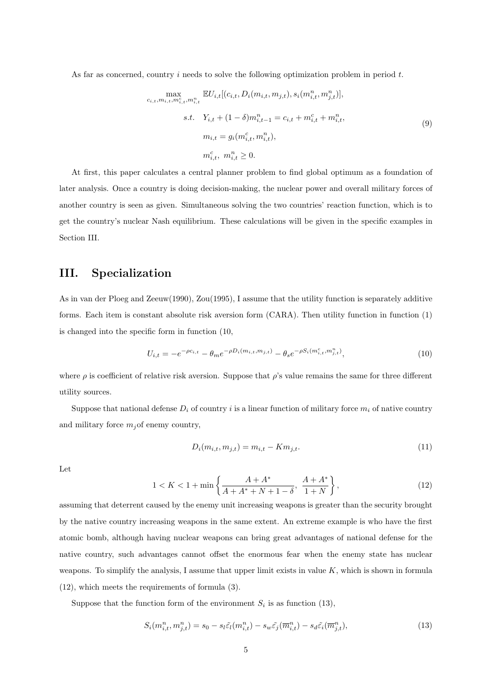As far as concerned, country  $i$  needs to solve the following optimization problem in period  $t$ .

$$
\max_{c_{i,t}, m_{i,t}, m_{i,t}^c, m_{i,t}^n} \mathbb{E} U_{i,t} [(c_{i,t}, D_i(m_{i,t}, m_{j,t}), s_i(m_{i,t}^n, m_{j,t}^n)],
$$
  
s.t.  $Y_{i,t} + (1 - \delta) m_{i,t-1}^n = c_{i,t} + m_{i,t}^c + m_{i,t}^n,$   

$$
m_{i,t} = g_i(m_{i,t}^c, m_{i,t}^n),
$$
  

$$
m_{i,t}^c, m_{i,t}^n \ge 0.
$$
 (9)

At first, this paper calculates a central planner problem to find global optimum as a foundation of later analysis. Once a country is doing decision-making, the nuclear power and overall military forces of another country is seen as given. Simultaneous solving the two countries' reaction function, which is to get the country's nuclear Nash equilibrium. These calculations will be given in the specific examples in Section III.

#### III. Specialization

As in van der Ploeg and Zeeuw(1990), Zou(1995), I assume that the utility function is separately additive forms. Each item is constant absolute risk aversion form (CARA). Then utility function in function (1) is changed into the specific form in function (10,

$$
U_{i,t} = -e^{-\rho c_{i,t}} - \theta_m e^{-\rho D_i(m_{i,t}, m_{j,t})} - \theta_s e^{-\rho S_i(m_{i,t}^c, m_{j,t}^n)},\tag{10}
$$

where  $\rho$  is coefficient of relative risk aversion. Suppose that  $\rho$ 's value remains the same for three different utility sources.

Suppose that national defense  $D_i$  of country i is a linear function of military force  $m_i$  of native country and military force  $m_j$  of enemy country,

$$
D_i(m_{i,t}, m_{j,t}) = m_{i,t} - Km_{j,t}.
$$
\n(11)

Let

$$
1 < K < 1 + \min\left\{\frac{A + A^*}{A + A^* + N + 1 - \delta}, \ \frac{A + A^*}{1 + N}\right\},\tag{12}
$$

assuming that deterrent caused by the enemy unit increasing weapons is greater than the security brought by the native country increasing weapons in the same extent. An extreme example is who have the first atomic bomb, although having nuclear weapons can bring great advantages of national defense for the native country, such advantages cannot offset the enormous fear when the enemy state has nuclear weapons. To simplify the analysis, I assume that upper limit exists in value  $K$ , which is shown in formula (12), which meets the requirements of formula (3).

Suppose that the function form of the environment  $S_i$  is as function (13),

$$
S_i(m_{i,t}^n, m_{j,t}^n) = s_0 - s_l \tilde{\varepsilon}_l(m_{i,t}^n) - s_w \tilde{\varepsilon}_j(\overline{m}_{i,t}^n) - s_d \tilde{\varepsilon}_i(\overline{m}_{j,t}^n),\tag{13}
$$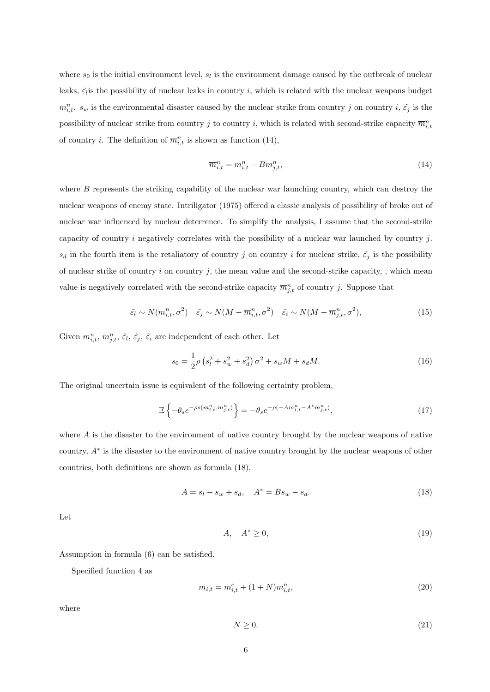where  $s_0$  is the initial environment level,  $s_l$  is the environment damage caused by the outbreak of nuclear leaks,  $\tilde{\varepsilon}_l$  is the possibility of nuclear leaks in country i, which is related with the nuclear weapons budget  $m_{i,t}^n$ ,  $s_w$  is the environmental disaster caused by the nuclear strike from country j on country  $i, \tilde{c}_j$  is the possibility of nuclear strike from country j to country i, which is related with second-strike capacity  $\overline{m}_{i,t}^n$ of country *i*. The definition of  $\overline{m}_{i,t}^n$  is shown as function (14),

$$
\overline{m}_{i,t}^n = m_{i,t}^n - Bm_{j,t}^n,\tag{14}
$$

where  $B$  represents the striking capability of the nuclear war launching country, which can destroy the nuclear weapons of enemy state. Intriligator (1975) offered a classic analysis of possibility of broke out of nuclear war influenced by nuclear deterrence. To simplify the analysis, I assume that the second-strike capacity of country i negatively correlates with the possibility of a nuclear war launched by country  $j$ .  $s_d$  in the fourth item is the retaliatory of country j on country i for nuclear strike,  $\tilde{\epsilon}_j$  is the possibility of nuclear strike of country i on country j, the mean value and the second-strike capacity, , which mean value is negatively correlated with the second-strike capacity  $\overline{m}_{j,t}^n$  of country j. Suppose that

$$
\tilde{\varepsilon}_l \sim N(m_{i,t}^n, \sigma^2) \quad \tilde{\varepsilon}_j \sim N(M - \overline{m}_{i,t}^n, \sigma^2) \quad \tilde{\varepsilon}_i \sim N(M - \overline{m}_{j,t}^n, \sigma^2), \tag{15}
$$

Given  $m_{i,t}^n$ ,  $m_{j,t}^n$ ,  $\tilde{\varepsilon}_i$ ,  $\tilde{\varepsilon}_j$ ,  $\tilde{\varepsilon}_i$  are independent of each other. Let

$$
s_0 = \frac{1}{2}\rho \left(s_l^2 + s_w^2 + s_d^2\right)\sigma^2 + s_w M + s_d M. \tag{16}
$$

The original uncertain issue is equivalent of the following certainty problem,

$$
\mathbb{E}\left\{-\theta_s e^{-\rho s(m_{i,t}^n, m_{j,t}^n)}\right\} = -\theta_s e^{-\rho(-Am_{i,t}^n - A^*m_{j,t}^n)},\tag{17}
$$

where A is the disaster to the environment of native country brought by the nuclear weapons of native country, A<sup>∗</sup> is the disaster to the environment of native country brought by the nuclear weapons of other countries, both definitions are shown as formula (18),

$$
A = s_l - s_w + s_d, \quad A^* = Bs_w - s_d.
$$
\n(18)

Let

$$
A, \quad A^* \ge 0,\tag{19}
$$

Assumption in formula (6) can be satisfied.

Specified function 4 as

$$
m_{i,t} = m_{i,t}^c + (1+N)m_{i,t}^n,
$$
\n(20)

where

$$
N \ge 0. \tag{21}
$$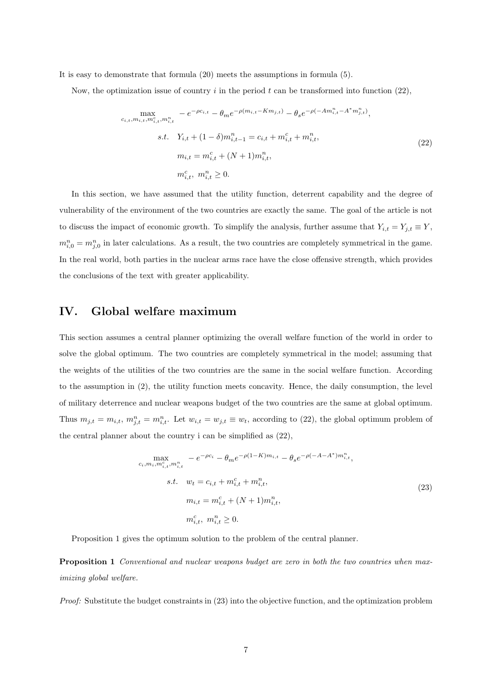It is easy to demonstrate that formula (20) meets the assumptions in formula (5).

Now, the optimization issue of country i in the period t can be transformed into function  $(22)$ ,

$$
\max_{c_{i,t}, m_{i,t}, m_{i,t}^n, m_{i,t}^n} -e^{-\rho c_{i,t}} - \theta_m e^{-\rho(m_{i,t} - Km_{j,t})} - \theta_s e^{-\rho(-Am_{i,t}^n - A^*m_{j,t}^n)},
$$
  
s.t. 
$$
Y_{i,t} + (1 - \delta)m_{i,t-1}^n = c_{i,t} + m_{i,t}^c + m_{i,t}^n,
$$

$$
m_{i,t} = m_{i,t}^c + (N+1)m_{i,t}^n,
$$

$$
m_{i,t}^c, m_{i,t}^n \ge 0.
$$
 (22)

In this section, we have assumed that the utility function, deterrent capability and the degree of vulnerability of the environment of the two countries are exactly the same. The goal of the article is not to discuss the impact of economic growth. To simplify the analysis, further assume that  $Y_{i,t} = Y_{j,t} \equiv Y$ ,  $m_{i,0}^n = m_{j,0}^n$  in later calculations. As a result, the two countries are completely symmetrical in the game. In the real world, both parties in the nuclear arms race have the close offensive strength, which provides the conclusions of the text with greater applicability.

#### IV. Global welfare maximum

This section assumes a central planner optimizing the overall welfare function of the world in order to solve the global optimum. The two countries are completely symmetrical in the model; assuming that the weights of the utilities of the two countries are the same in the social welfare function. According to the assumption in (2), the utility function meets concavity. Hence, the daily consumption, the level of military deterrence and nuclear weapons budget of the two countries are the same at global optimum. Thus  $m_{j,t} = m_{i,t}$ ,  $m_{j,t}^n = m_{i,t}^n$ . Let  $w_{i,t} = w_{j,t} \equiv w_t$ , according to (22), the global optimum problem of the central planner about the country i can be simplified as (22),

$$
\max_{c_i, m_i, m_{i,t}^n, m_{i,t}^n} -e^{-\rho c_i} - \theta_m e^{-\rho (1-K)m_{i,t}} - \theta_s e^{-\rho (-A-A^*)m_{i,t}^n},
$$
  
s.t.  $w_t = c_{i,t} + m_{i,t}^c + m_{i,t}^n,$   
 $m_{i,t} = m_{i,t}^c + (N+1)m_{i,t}^n,$   
 $m_{i,t}^c, m_{i,t}^n \ge 0.$  (23)

Proposition 1 gives the optimum solution to the problem of the central planner.

Proposition 1 *Conventional and nuclear weapons budget are zero in both the two countries when maximizing global welfare.*

*Proof:* Substitute the budget constraints in (23) into the objective function, and the optimization problem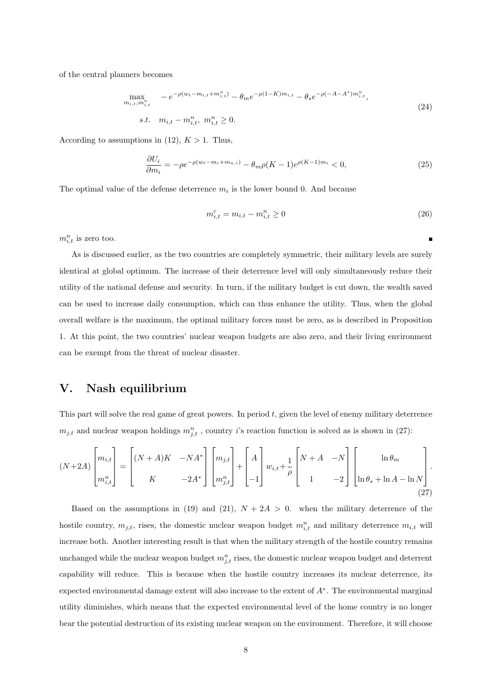of the central planners becomes

 $\boldsymbol{m}$ 

$$
\max_{\substack{i_{i,t}, m_{i,t}^n} \atop s,t, m_{i,t} = m_{i,t}^n, m_{i,t}^n \ge 0}} -e^{-\rho(w_t - m_{i,t} + m_{i,t}^n)} - \theta_m e^{-\rho(1 - K)m_{i,t}} - \theta_s e^{-\rho(-A - A^*)m_{i,t}^n},
$$
\n
$$
(24)
$$

According to assumptions in (12),  $K > 1$ . Thus,

$$
\frac{\partial U_i}{\partial m_i} = -\rho e^{-\rho(w_t - m_i + m_{n,i})} - \theta_m \rho (K - 1) e^{\rho (K - 1) m_i} < 0,\tag{25}
$$

The optimal value of the defense deterrence  $m_i$  is the lower bound 0. And because

$$
m_{i,t}^c = m_{i,t} - m_{i,t}^n \ge 0
$$
\n(26)

 $m_{i,t}^n$  is zero too.

As is discussed earlier, as the two countries are completely symmetric, their military levels are surely identical at global optimum. The increase of their deterrence level will only simultaneously reduce their utility of the national defense and security. In turn, if the military budget is cut down, the wealth saved can be used to increase daily consumption, which can thus enhance the utility. Thus, when the global overall welfare is the maximum, the optimal military forces must be zero, as is described in Proposition 1. At this point, the two countries' nuclear weapon budgets are also zero, and their living environment can be exempt from the threat of nuclear disaster.

#### V. Nash equilibrium

This part will solve the real game of great powers. In period  $t$ , given the level of enemy military deterrence  $m_{j,t}$  and nuclear weapon holdings  $m_{j,t}^n$ , country *i*'s reaction function is solved as is shown in (27):

$$
(N+2A)\begin{bmatrix} m_{i,t} \\ m_{i,t}^n \end{bmatrix} = \begin{bmatrix} (N+A)K & -NA^* \\ K & -2A^* \end{bmatrix} \begin{bmatrix} m_{j,t} \\ m_{j,t}^n \end{bmatrix} + \begin{bmatrix} A \\ -1 \end{bmatrix} w_{i,t} + \frac{1}{\rho} \begin{bmatrix} N+A & -N \\ 1 & -2 \end{bmatrix} \begin{bmatrix} \ln \theta_m \\ \ln \theta_s + \ln A - \ln N \end{bmatrix}.
$$
\n(27)

Based on the assumptions in (19) and (21),  $N + 2A > 0$ . when the military deterrence of the hostile country,  $m_{j,t}$ , rises, the domestic nuclear weapon budget  $m_{i,t}^n$  and military deterrence  $m_{i,t}$  will increase both. Another interesting result is that when the military strength of the hostile country remains unchanged while the nuclear weapon budget  $m_{j,t}^n$  rises, the domestic nuclear weapon budget and deterrent capability will reduce. This is because when the hostile country increases its nuclear deterrence, its expected environmental damage extent will also increase to the extent of  $A^*$ . The environmental marginal utility diminishes, which means that the expected environmental level of the home country is no longer bear the potential destruction of its existing nuclear weapon on the environment. Therefore, it will choose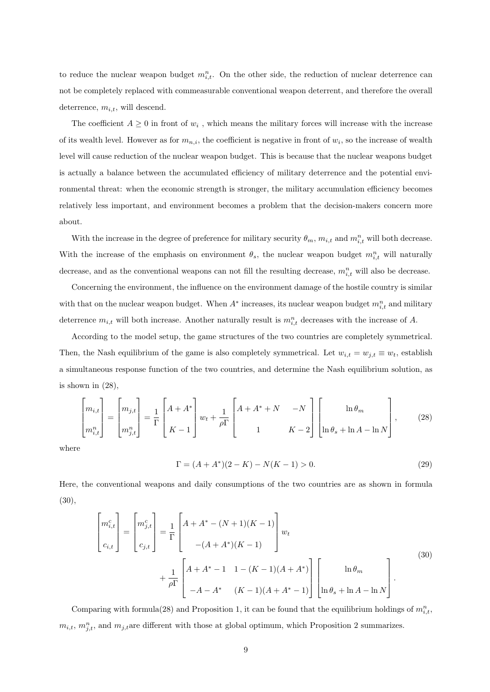to reduce the nuclear weapon budget  $m_{i,t}^n$ . On the other side, the reduction of nuclear deterrence can not be completely replaced with commeasurable conventional weapon deterrent, and therefore the overall deterrence,  $m_{i,t}$ , will descend.

The coefficient  $A \geq 0$  in front of  $w_i$ , which means the military forces will increase with the increase of its wealth level. However as for  $m_{n,i}$ , the coefficient is negative in front of  $w_i$ , so the increase of wealth level will cause reduction of the nuclear weapon budget. This is because that the nuclear weapons budget is actually a balance between the accumulated efficiency of military deterrence and the potential environmental threat: when the economic strength is stronger, the military accumulation efficiency becomes relatively less important, and environment becomes a problem that the decision-makers concern more about.

With the increase in the degree of preference for military security  $\theta_m$ ,  $m_{i,t}$  and  $m_{i,t}^n$  will both decrease. With the increase of the emphasis on environment  $\theta_s$ , the nuclear weapon budget  $m_{i,t}^n$  will naturally decrease, and as the conventional weapons can not fill the resulting decrease,  $m_{i,t}^n$  will also be decrease.

Concerning the environment, the influence on the environment damage of the hostile country is similar with that on the nuclear weapon budget. When  $A^*$  increases, its nuclear weapon budget  $m_{i,t}^n$  and military deterrence  $m_{i,t}$  will both increase. Another naturally result is  $m_{i,t}^n$  decreases with the increase of A.

According to the model setup, the game structures of the two countries are completely symmetrical. Then, the Nash equilibrium of the game is also completely symmetrical. Let  $w_{i,t} = w_{j,t} \equiv w_t$ , establish a simultaneous response function of the two countries, and determine the Nash equilibrium solution, as is shown in  $(28)$ ,

$$
\begin{bmatrix} m_{i,t} \\ m_{i,t}^n \end{bmatrix} = \begin{bmatrix} m_{j,t} \\ m_{j,t}^n \end{bmatrix} = \frac{1}{\Gamma} \begin{bmatrix} A + A^* \\ K - 1 \end{bmatrix} w_t + \frac{1}{\rho \Gamma} \begin{bmatrix} A + A^* + N & -N \\ 1 & K - 2 \end{bmatrix} \begin{bmatrix} \ln \theta_m \\ \ln \theta_s + \ln A - \ln N \end{bmatrix},
$$
(28)

where

$$
\Gamma = (A + A^*)(2 - K) - N(K - 1) > 0. \tag{29}
$$

Here, the conventional weapons and daily consumptions of the two countries are as shown in formula (30),

$$
\begin{bmatrix} m_{i,t}^{c} \\ c_{i,t} \end{bmatrix} = \begin{bmatrix} m_{j,t}^{c} \\ c_{j,t} \end{bmatrix} = \frac{1}{\Gamma} \begin{bmatrix} A + A^{*} - (N+1)(K-1) \\ -(A + A^{*})(K-1) \end{bmatrix} w_{t} + \frac{1}{\rho \Gamma} \begin{bmatrix} A + A^{*} - 1 & 1 - (K-1)(A + A^{*}) \\ -A - A^{*} & (K-1)(A + A^{*} - 1) \end{bmatrix} \begin{bmatrix} \ln \theta_{m} \\ \ln \theta_{s} + \ln A - \ln N \end{bmatrix}.
$$
\n(30)

Comparing with formula (28) and Proposition 1, it can be found that the equilibrium holdings of  $m_{i,t}^n$ ,  $m_{i,t}$ ,  $m_{j,t}^n$ , and  $m_{j,t}$ are different with those at global optimum, which Proposition 2 summarizes.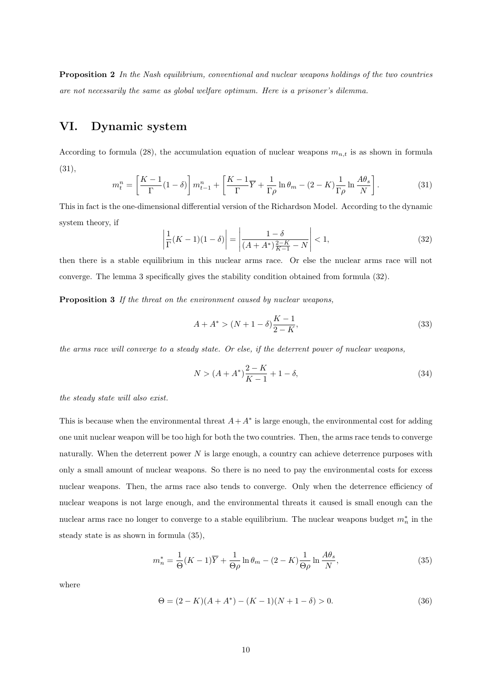Proposition 2 *In the Nash equilibrium, conventional and nuclear weapons holdings of the two countries are not necessarily the same as global welfare optimum. Here is a prisoner's dilemma.*

### VI. Dynamic system

According to formula (28), the accumulation equation of nuclear weapons  $m_{n,t}$  is as shown in formula (31),

$$
m_t^n = \left[\frac{K-1}{\Gamma}(1-\delta)\right]m_{t-1}^n + \left[\frac{K-1}{\Gamma}\overline{Y} + \frac{1}{\Gamma\rho}\ln\theta_m - (2-K)\frac{1}{\Gamma\rho}\ln\frac{A\theta_s}{N}\right].\tag{31}
$$

This in fact is the one-dimensional differential version of the Richardson Model. According to the dynamic system theory, if

$$
\left| \frac{1}{\Gamma}(K-1)(1-\delta) \right| = \left| \frac{1-\delta}{(A+A^*)\frac{2-K}{K-1} - N} \right| < 1,\tag{32}
$$

then there is a stable equilibrium in this nuclear arms race. Or else the nuclear arms race will not converge. The lemma 3 specifically gives the stability condition obtained from formula (32).

Proposition 3 *If the threat on the environment caused by nuclear weapons,*

$$
A + A^* > (N + 1 - \delta) \frac{K - 1}{2 - K},
$$
\n(33)

*the arms race will converge to a steady state. Or else, if the deterrent power of nuclear weapons,*

$$
N > (A + A^*)\frac{2 - K}{K - 1} + 1 - \delta,\tag{34}
$$

*the steady state will also exist.*

This is because when the environmental threat  $A + A^*$  is large enough, the environmental cost for adding one unit nuclear weapon will be too high for both the two countries. Then, the arms race tends to converge naturally. When the deterrent power  $N$  is large enough, a country can achieve deterrence purposes with only a small amount of nuclear weapons. So there is no need to pay the environmental costs for excess nuclear weapons. Then, the arms race also tends to converge. Only when the deterrence efficiency of nuclear weapons is not large enough, and the environmental threats it caused is small enough can the nuclear arms race no longer to converge to a stable equilibrium. The nuclear weapons budget  $m_n^*$  in the steady state is as shown in formula (35),

$$
m_n^* = \frac{1}{\Theta}(K-1)\overline{Y} + \frac{1}{\Theta\rho}\ln\theta_m - (2-K)\frac{1}{\Theta\rho}\ln\frac{A\theta_s}{N},\tag{35}
$$

where

$$
\Theta = (2 - K)(A + A^*) - (K - 1)(N + 1 - \delta) > 0.
$$
\n(36)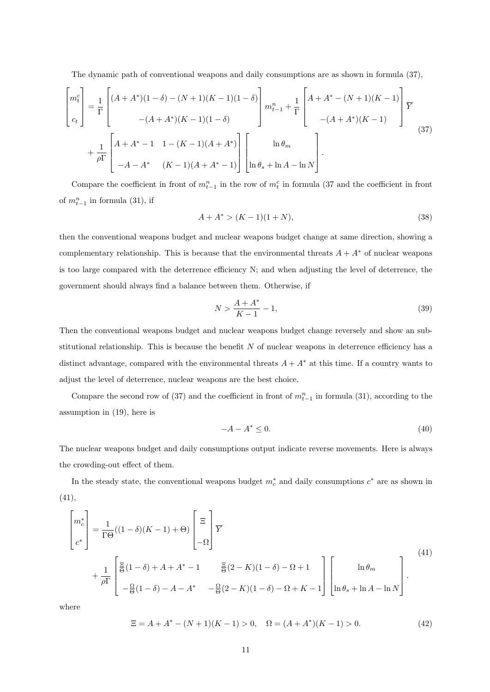The dynamic path of conventional weapons and daily consumptions are as shown in formula (37),

$$
\begin{bmatrix} m_t^c \\ c_t \end{bmatrix} = \frac{1}{\Gamma} \begin{bmatrix} (A + A^*)(1 - \delta) - (N + 1)(K - 1)(1 - \delta) \\ - (A + A^*)(K - 1)(1 - \delta) \end{bmatrix} m_{t-1}^n + \frac{1}{\Gamma} \begin{bmatrix} A + A^* - (N + 1)(K - 1) \\ - (A + A^*)(K - 1) \end{bmatrix} \frac{1}{Y}
$$
  
+ 
$$
\frac{1}{\rho \Gamma} \begin{bmatrix} A + A^* - 1 & 1 - (K - 1)(A + A^*) \\ -A - A^* & (K - 1)(A + A^*) \end{bmatrix} \begin{bmatrix} \ln \theta_m \\ \ln \theta_s + \ln A - \ln N \end{bmatrix}.
$$
 (37)

Compare the coefficient in front of  $m_{t-1}^n$  in the row of  $m_t^c$  in formula (37 and the coefficient in front of  $m_{t-1}^n$  in formula (31), if

$$
A + A^* > (K - 1)(1 + N),\tag{38}
$$

then the conventional weapons budget and nuclear weapons budget change at same direction, showing a complementary relationship. This is because that the environmental threats  $A + A^*$  of nuclear weapons is too large compared with the deterrence efficiency N; and when adjusting the level of deterrence, the government should always find a balance between them. Otherwise, if

$$
N > \frac{A + A^*}{K - 1} - 1,\tag{39}
$$

Then the conventional weapons budget and nuclear weapons budget change reversely and show an substitutional relationship. This is because the benefit  $N$  of nuclear weapons in deterrence efficiency has a distinct advantage, compared with the environmental threats  $A + A^*$  at this time. If a country wants to adjust the level of deterrence, nuclear weapons are the best choice.

Compare the second row of (37) and the coefficient in front of  $m_{t-1}^n$  in formula (31), according to the assumption in (19), here is

$$
-A - A^* \le 0. \tag{40}
$$

The nuclear weapons budget and daily consumptions output indicate reverse movements. Here is always the crowding-out effect of them.

In the steady state, the conventional weapons budget  $m_c^*$  and daily consumptions  $c^*$  are as shown in (41),

$$
\begin{bmatrix} m_c^* \\ c^* \end{bmatrix} = \frac{1}{\Gamma \Theta}((1 - \delta)(K - 1) + \Theta) \begin{bmatrix} \Xi \\ -\Omega \end{bmatrix} \overline{Y}
$$
  
+ 
$$
\frac{1}{\rho \Gamma} \begin{bmatrix} \Xi \\ \overline{\Theta}(1 - \delta) + A + A^* - 1 & \Xi (2 - K)(1 - \delta) - \Omega + 1 \\ -\frac{\Omega}{\Theta}(1 - \delta) - A - A^* & -\frac{\Omega}{\Theta}(2 - K)(1 - \delta) - \Omega + K - 1 \end{bmatrix} \begin{bmatrix} \ln \theta_m \\ \ln \theta_s + \ln A - \ln N \end{bmatrix} (41)
$$

where

$$
\Xi = A + A^* - (N+1)(K-1) > 0, \quad \Omega = (A + A^*)(K-1) > 0. \tag{42}
$$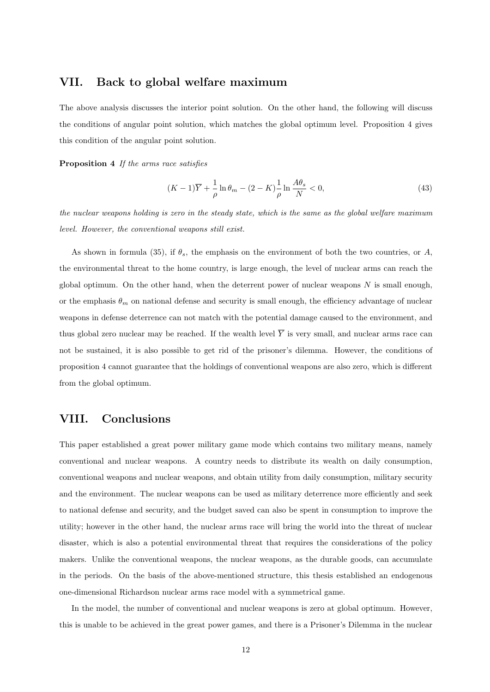#### VII. Back to global welfare maximum

The above analysis discusses the interior point solution. On the other hand, the following will discuss the conditions of angular point solution, which matches the global optimum level. Proposition 4 gives this condition of the angular point solution.

Proposition 4 *If the arms race satisfies*

$$
(K-1)\overline{Y} + \frac{1}{\rho}\ln\theta_m - (2-K)\frac{1}{\rho}\ln\frac{A\theta_s}{N} < 0,\tag{43}
$$

*the nuclear weapons holding is zero in the steady state, which is the same as the global welfare maximum level. However, the conventional weapons still exist.*

As shown in formula (35), if  $\theta_s$ , the emphasis on the environment of both the two countries, or A, the environmental threat to the home country, is large enough, the level of nuclear arms can reach the global optimum. On the other hand, when the deterrent power of nuclear weapons  $N$  is small enough, or the emphasis  $\theta_m$  on national defense and security is small enough, the efficiency advantage of nuclear weapons in defense deterrence can not match with the potential damage caused to the environment, and thus global zero nuclear may be reached. If the wealth level  $\overline{Y}$  is very small, and nuclear arms race can not be sustained, it is also possible to get rid of the prisoner's dilemma. However, the conditions of proposition 4 cannot guarantee that the holdings of conventional weapons are also zero, which is different from the global optimum.

#### VIII. Conclusions

This paper established a great power military game mode which contains two military means, namely conventional and nuclear weapons. A country needs to distribute its wealth on daily consumption, conventional weapons and nuclear weapons, and obtain utility from daily consumption, military security and the environment. The nuclear weapons can be used as military deterrence more efficiently and seek to national defense and security, and the budget saved can also be spent in consumption to improve the utility; however in the other hand, the nuclear arms race will bring the world into the threat of nuclear disaster, which is also a potential environmental threat that requires the considerations of the policy makers. Unlike the conventional weapons, the nuclear weapons, as the durable goods, can accumulate in the periods. On the basis of the above-mentioned structure, this thesis established an endogenous one-dimensional Richardson nuclear arms race model with a symmetrical game.

In the model, the number of conventional and nuclear weapons is zero at global optimum. However, this is unable to be achieved in the great power games, and there is a Prisoner's Dilemma in the nuclear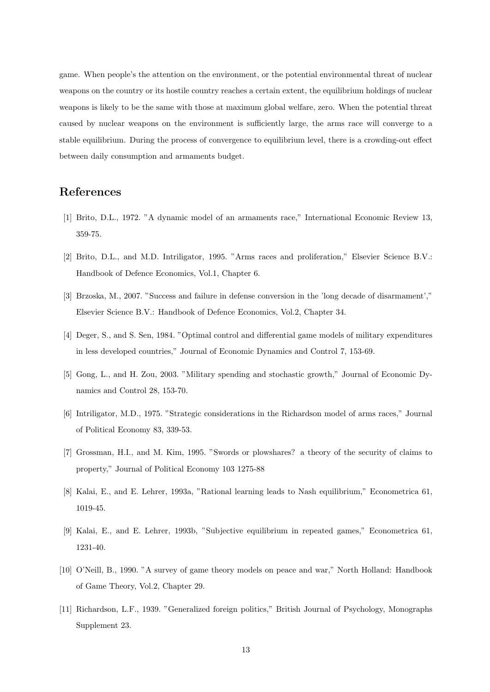game. When people's the attention on the environment, or the potential environmental threat of nuclear weapons on the country or its hostile country reaches a certain extent, the equilibrium holdings of nuclear weapons is likely to be the same with those at maximum global welfare, zero. When the potential threat caused by nuclear weapons on the environment is sufficiently large, the arms race will converge to a stable equilibrium. During the process of convergence to equilibrium level, there is a crowding-out effect between daily consumption and armaments budget.

#### References

- [1] Brito, D.L., 1972. "A dynamic model of an armaments race," International Economic Review 13, 359-75.
- [2] Brito, D.L., and M.D. Intriligator, 1995. "Arms races and proliferation," Elsevier Science B.V.: Handbook of Defence Economics, Vol.1, Chapter 6.
- [3] Brzoska, M., 2007. "Success and failure in defense conversion in the 'long decade of disarmament'," Elsevier Science B.V.: Handbook of Defence Economics, Vol.2, Chapter 34.
- [4] Deger, S., and S. Sen, 1984. "Optimal control and differential game models of military expenditures in less developed countries," Journal of Economic Dynamics and Control 7, 153-69.
- [5] Gong, L., and H. Zou, 2003. "Military spending and stochastic growth," Journal of Economic Dynamics and Control 28, 153-70.
- [6] Intriligator, M.D., 1975. "Strategic considerations in the Richardson model of arms races," Journal of Political Economy 83, 339-53.
- [7] Grossman, H.I., and M. Kim, 1995. "Swords or plowshares? a theory of the security of claims to property," Journal of Political Economy 103 1275-88
- [8] Kalai, E., and E. Lehrer, 1993a, "Rational learning leads to Nash equilibrium," Econometrica 61, 1019-45.
- [9] Kalai, E., and E. Lehrer, 1993b, "Subjective equilibrium in repeated games," Econometrica 61, 1231-40.
- [10] O'Neill, B., 1990. "A survey of game theory models on peace and war," North Holland: Handbook of Game Theory, Vol.2, Chapter 29.
- [11] Richardson, L.F., 1939. "Generalized foreign politics," British Journal of Psychology, Monographs Supplement 23.